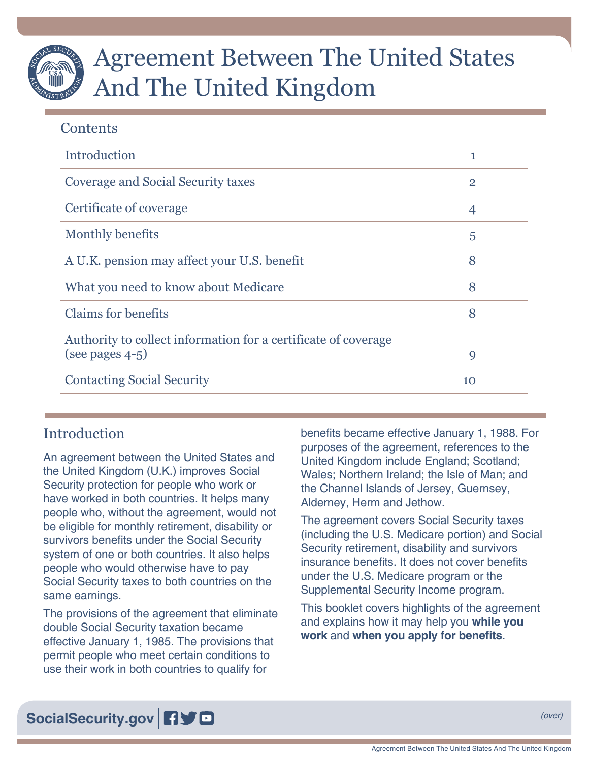# Agreement Between The United States And The United Kingdom

# **Contents**

| Introduction                                                   | 1              |
|----------------------------------------------------------------|----------------|
| Coverage and Social Security taxes                             | $\overline{2}$ |
| Certificate of coverage                                        | 4              |
| Monthly benefits                                               | 5              |
| A U.K. pension may affect your U.S. benefit                    | 8              |
| What you need to know about Medicare                           | 8              |
| <b>Claims for benefits</b>                                     | 8              |
| Authority to collect information for a certificate of coverage |                |
| (see pages $4-5$ )                                             | 9              |
| <b>Contacting Social Security</b>                              | 10             |

# **Introduction**

An agreement between the United States and the United Kingdom (U.K.) improves Social Security protection for people who work or have worked in both countries. It helps many people who, without the agreement, would not be eligible for monthly retirement, disability or survivors benefits under the Social Security system of one or both countries. It also helps people who would otherwise have to pay Social Security taxes to both countries on the same earnings.

The provisions of the agreement that eliminate double Social Security taxation became effective January 1, 1985. The provisions that permit people who meet certain conditions to use their work in both countries to qualify for

benefits became effective January 1, 1988. For purposes of the agreement, references to the United Kingdom include England; Scotland; Wales; Northern Ireland; the Isle of Man; and the Channel Islands of Jersey, Guernsey, Alderney, Herm and Jethow.

The agreement covers Social Security taxes (including the U.S. Medicare portion) and Social Security retirement, disability and survivors insurance benefits. It does not cover benefits under the U.S. Medicare program or the Supplemental Security Income program.

This booklet covers highlights of the agreement and explains how it may help you **while you work** and **when you apply for benefits**.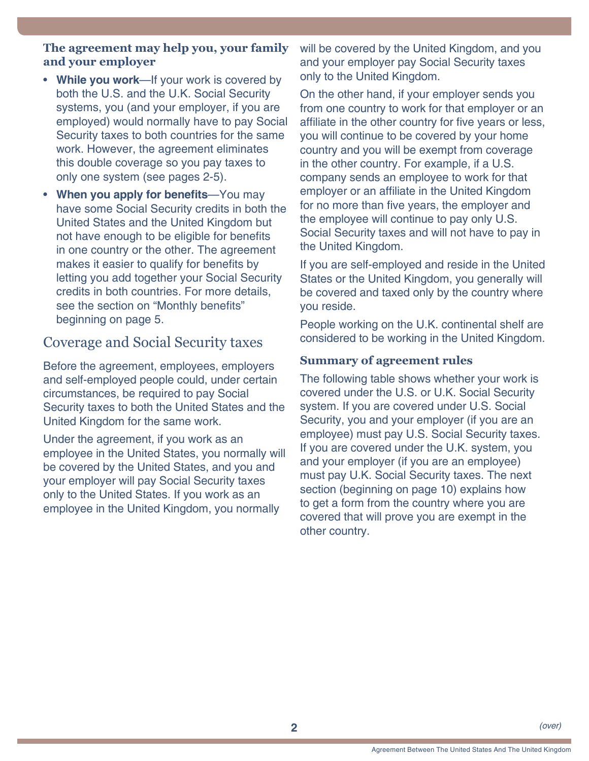#### <span id="page-1-0"></span>**The agreement may help you, your family and your employer**

- **While you work**—If your work is covered by both the U.S. and the U.K. Social Security systems, you (and your employer, if you are employed) would normally have to pay Social Security taxes to both countries for the same work. However, the agreement eliminates this double coverage so you pay taxes to only one system (see [pages 2-](#page-1-1)5).
- **When you apply for benefits**—You may have some Social Security credits in both the United States and the United Kingdom but not have enough to be eligible for benefits in one country or the other. The agreement makes it easier to qualify for benefits by letting you add together your Social Security credits in both countries. For more details, see the section on "Monthly benefits" beginning on [page 5](#page-4-1).

# <span id="page-1-1"></span>Coverage and Social Security taxes

Before the agreement, employees, employers and self-employed people could, under certain circumstances, be required to pay Social Security taxes to both the United States and the United Kingdom for the same work.

Under the agreement, if you work as an employee in the United States, you normally will be covered by the United States, and you and your employer will pay Social Security taxes only to the United States. If you work as an employee in the United Kingdom, you normally

will be covered by the United Kingdom, and you and your employer pay Social Security taxes only to the United Kingdom.

On the other hand, if your employer sends you from one country to work for that employer or an affiliate in the other country for five years or less, you will continue to be covered by your home country and you will be exempt from coverage in the other country. For example, if a U.S. company sends an employee to work for that employer or an affiliate in the United Kingdom for no more than five years, the employer and the employee will continue to pay only U.S. Social Security taxes and will not have to pay in the United Kingdom.

If you are self-employed and reside in the United States or the United Kingdom, you generally will be covered and taxed only by the country where you reside.

People working on the U.K. continental shelf are considered to be working in the United Kingdom.

### **Summary of agreement rules**

The following table shows whether your work is covered under the U.S. or U.K. Social Security system. If you are covered under U.S. Social Security, you and your employer (if you are an employee) must pay U.S. Social Security taxes. If you are covered under the U.K. system, you and your employer (if you are an employee) must pay U.K. Social Security taxes. The next section (beginning on page 10) explains how to get a form from the country where you are covered that will prove you are exempt in the other country.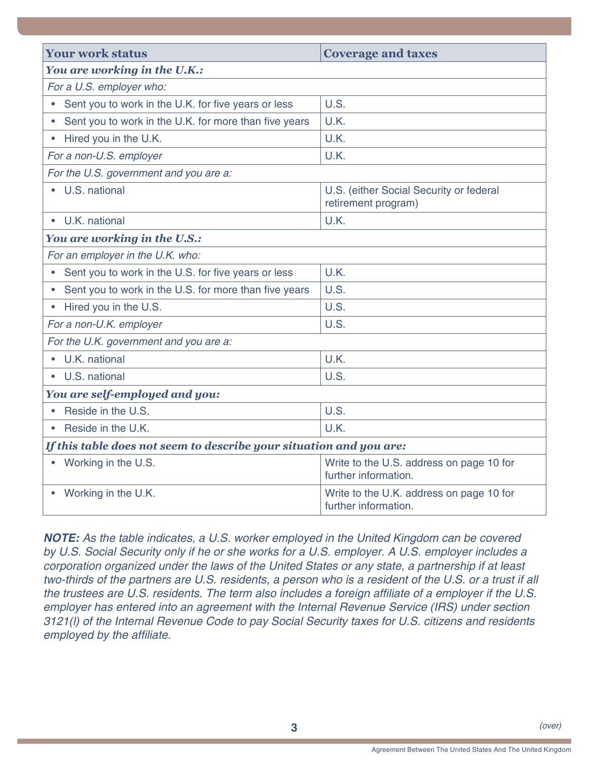| <b>Your work status</b>                                             | <b>Coverage and taxes</b>                                        |  |
|---------------------------------------------------------------------|------------------------------------------------------------------|--|
| You are working in the U.K.:                                        |                                                                  |  |
| For a U.S. employer who:                                            |                                                                  |  |
| Sent you to work in the U.K. for five years or less<br>$\bullet$    | U.S.                                                             |  |
| Sent you to work in the U.K. for more than five years               | U.K.                                                             |  |
| Hired you in the U.K.                                               | U.K.                                                             |  |
| For a non-U.S. employer                                             | U.K.                                                             |  |
| For the U.S. government and you are a:                              |                                                                  |  |
| U.S. national                                                       | U.S. (either Social Security or federal<br>retirement program)   |  |
| U.K. national                                                       | U.K.                                                             |  |
| You are working in the U.S.:                                        |                                                                  |  |
| For an employer in the U.K. who:                                    |                                                                  |  |
| Sent you to work in the U.S. for five years or less                 | U.K.                                                             |  |
| Sent you to work in the U.S. for more than five years               | U.S.                                                             |  |
| Hired you in the U.S.<br>$\bullet$                                  | U.S.                                                             |  |
| For a non-U.K. employer                                             | U.S.                                                             |  |
| For the U.K. government and you are a:                              |                                                                  |  |
| U.K. national                                                       | U.K.                                                             |  |
| U.S. national                                                       | U.S.                                                             |  |
| You are self-employed and you:                                      |                                                                  |  |
| Reside in the U.S.                                                  | U.S.                                                             |  |
| Reside in the U.K.                                                  | U.K.                                                             |  |
| If this table does not seem to describe your situation and you are: |                                                                  |  |
| Working in the U.S.                                                 | Write to the U.S. address on page 10 for<br>further information. |  |
| Working in the U.K.                                                 | Write to the U.K. address on page 10 for<br>further information. |  |

*NOTE: As the table indicates, a U.S. worker employed in the United Kingdom can be covered by U.S. Social Security only if he or she works for a U.S. employer. A U.S. employer includes a corporation organized under the laws of the United States or any state, a partnership if at least two-thirds of the partners are U.S. residents, a person who is a resident of the U.S. or a trust if all*  the trustees are U.S. residents. The term also includes a foreign affiliate of a employer if the U.S. *employer has entered into an agreement with the Internal Revenue Service (IRS) under section 3121(l) of the Internal Revenue Code to pay Social Security taxes for U.S. citizens and residents*  employed by the affiliate.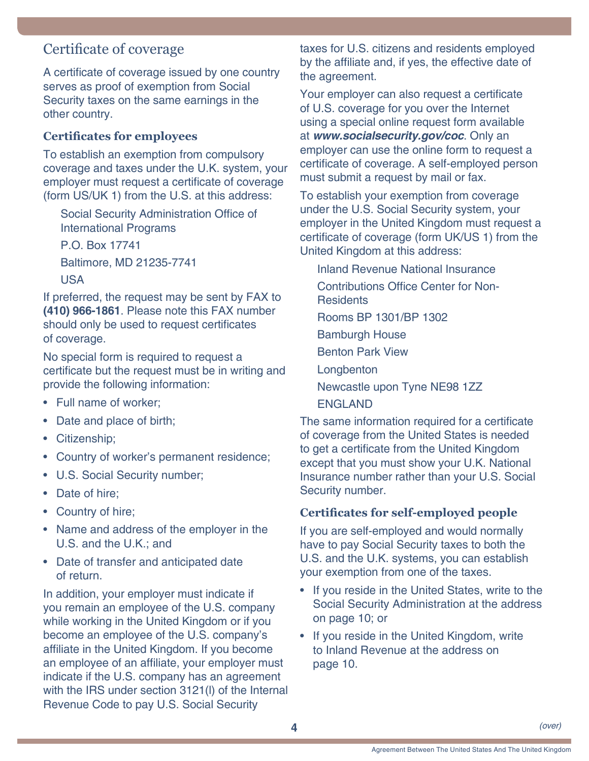# <span id="page-3-1"></span><span id="page-3-0"></span>Certificate of coverage

A certificate of coverage issued by one country serves as proof of exemption from Social Security taxes on the same earnings in the other country.

# **Certificates for employees**

To establish an exemption from compulsory coverage and taxes under the U.K. system, your employer must request a certificate of coverage (form US/UK 1) from the U.S. at this address:

Social Security Administration Office of International Programs

P.O. Box 17741

Baltimore, MD 21235-7741 USA

If preferred, the request may be sent by FAX to **(410) 966-1861**. Please note this FAX number should only be used to request certificates of coverage.

No special form is required to request a certificate but the request must be in writing and provide the following information:

- Full name of worker;
- Date and place of birth;
- Citizenship;
- Country of worker's permanent residence;
- U.S. Social Security number;
- Date of hire;
- Country of hire;
- Name and address of the employer in the U.S. and the U.K.; and
- Date of transfer and anticipated date of return.

In addition, your employer must indicate if you remain an employee of the U.S. company while working in the United Kingdom or if you become an employee of the U.S. company's affiliate in the United Kingdom. If you become an employee of an affiliate, your employer must indicate if the U.S. company has an agreement with the IRS under section 3121(l) of the Internal Revenue Code to pay U.S. Social Security

taxes for U.S. citizens and residents employed by the affiliate and, if yes, the effective date of the agreement.

Your employer can also request a certificate of U.S. coverage for you over the Internet using a special online request form available at *[www.socialsecurity.gov/coc](http://www.socialsecurity.gov/coc)*. Only an employer can use the online form to request a certificate of coverage. A self-employed person must submit a request by mail or fax.

To establish your exemption from coverage under the U.S. Social Security system, your employer in the United Kingdom must request a certificate of coverage (form UK/US 1) from the United Kingdom at this address:

Inland Revenue National Insurance Contributions Office Center for Non-**Residents** Rooms BP 1301/BP 1302 Bamburgh House Benton Park View Longbenton Newcastle upon Tyne NE98 1ZZ ENGLAND

The same information required for a certificate of coverage from the United States is needed to get a certificate from the United Kingdom except that you must show your U.K. National Insurance number rather than your U.S. Social Security number.

#### **Certificates for self-employed people**

If you are self-employed and would normally have to pay Social Security taxes to both the U.S. and the U.K. systems, you can establish your exemption from one of the taxes.

- If you reside in the United States, write to the Social Security Administration at the address on [page 10;](#page-9-1) or
- If you reside in the United Kingdom, write to Inland Revenue at the address on [page 10.](#page-9-1)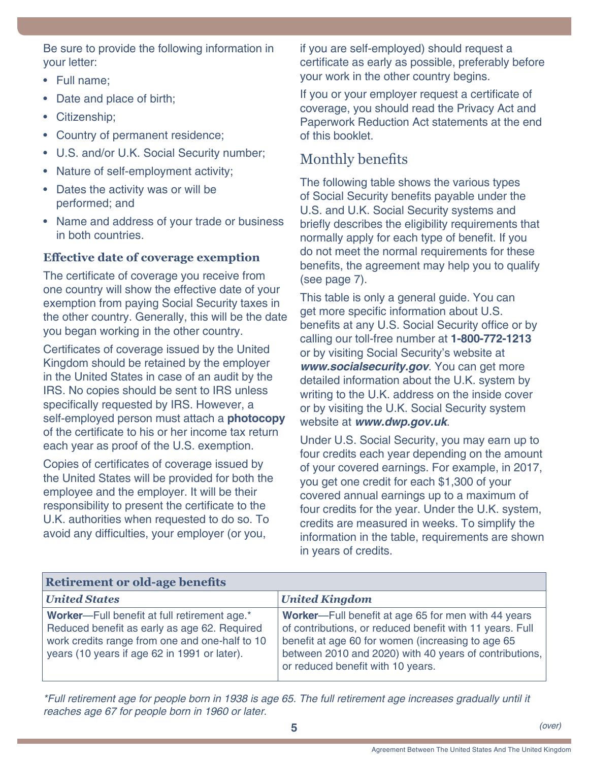<span id="page-4-0"></span>Be sure to provide the following information in your letter:

- Full name;
- Date and place of birth;
- Citizenship;
- Country of permanent residence;
- U.S. and/or U.K. Social Security number;
- Nature of self-employment activity;
- Dates the activity was or will be performed; and
- Name and address of your trade or business in both countries.

### **Effective date of coverage exemption**

The certificate of coverage you receive from one country will show the effective date of your exemption from paying Social Security taxes in the other country. Generally, this will be the date you began working in the other country.

Certificates of coverage issued by the United Kingdom should be retained by the employer in the United States in case of an audit by the IRS. No copies should be sent to IRS unless specifically requested by IRS. However, a self-employed person must attach a **photocopy** of the certificate to his or her income tax return each year as proof of the U.S. exemption.

Copies of certificates of coverage issued by the United States will be provided for both the employee and the employer. It will be their responsibility to present the certificate to the U.K. authorities when requested to do so. To avoid any difficulties, your employer (or you,

if you are self-employed) should request a certificate as early as possible, preferably before your work in the other country begins.

If you or your employer request a certificate of coverage, you should read the Privacy Act and Paperwork Reduction Act statements at the end of this booklet.

# <span id="page-4-1"></span>Monthly benefits

The following table shows the various types of Social Security benefits payable under the U.S. and U.K. Social Security systems and briefly describes the eligibility requirements that normally apply for each type of benefit. If you do not meet the normal requirements for these benefits, the agreement may help you to qualify (see [page 7\)](#page-6-0).

This table is only a general guide. You can get more specific information about U.S. benefits at any U.S. Social Security office or by calling our toll-free number at **1-800-772-1213** or by visiting Social Security's website at *[www.socialsecurity.gov](http://www.socialsecurity.gov)*. You can get more detailed information about the U.K. system by writing to the U.K. address on the inside cover or by visiting the U.K. Social Security system website at *[www.dwp.gov.uk](http://www.dwp.gov.uk)*.

Under U.S. Social Security, you may earn up to four credits each year depending on the amount of your covered earnings. For example, in 2017, you get one credit for each \$1,300 of your covered annual earnings up to a maximum of four credits for the year. Under the U.K. system, credits are measured in weeks. To simplify the information in the table, requirements are shown in years of credits.

| <b>Retirement or old-age benefits</b>                                                                                                                                                          |                                                                                                                                                                                                                                                                       |  |
|------------------------------------------------------------------------------------------------------------------------------------------------------------------------------------------------|-----------------------------------------------------------------------------------------------------------------------------------------------------------------------------------------------------------------------------------------------------------------------|--|
| <b>United States</b>                                                                                                                                                                           | <b>United Kingdom</b>                                                                                                                                                                                                                                                 |  |
| Worker-Full benefit at full retirement age.*<br>Reduced benefit as early as age 62. Required<br>work credits range from one and one-half to 10<br>years (10 years if age 62 in 1991 or later). | Worker---Full benefit at age 65 for men with 44 years<br>of contributions, or reduced benefit with 11 years. Full<br>benefit at age 60 for women (increasing to age 65<br>between 2010 and 2020) with 40 years of contributions,<br>or reduced benefit with 10 years. |  |

*\*Full retirement age for people born in 1938 is age 65. The full retirement age increases gradually until it reaches age 67 for people born in 1960 or later.*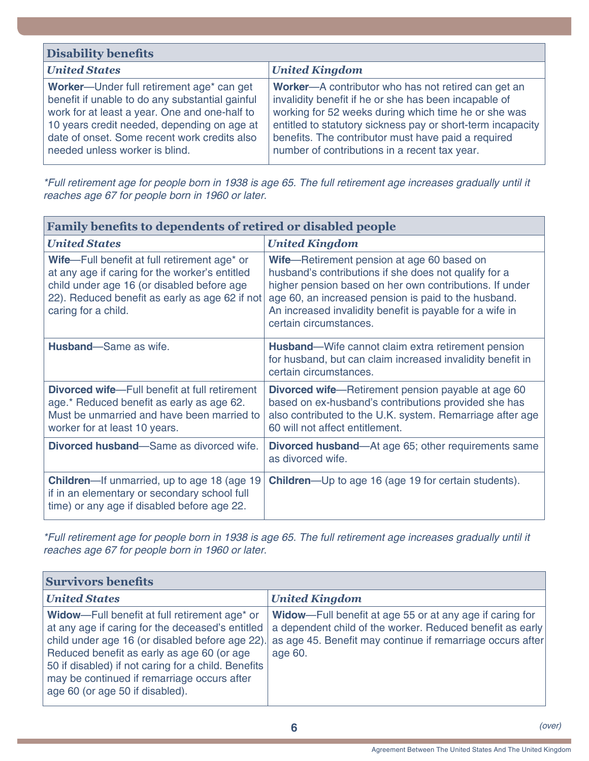| <b>Disability benefits</b>                                                                                                                                                                                                                                                     |                                                                                                                                                                                                                                                                                                                                             |  |
|--------------------------------------------------------------------------------------------------------------------------------------------------------------------------------------------------------------------------------------------------------------------------------|---------------------------------------------------------------------------------------------------------------------------------------------------------------------------------------------------------------------------------------------------------------------------------------------------------------------------------------------|--|
| <b>United States</b>                                                                                                                                                                                                                                                           | <b>United Kingdom</b>                                                                                                                                                                                                                                                                                                                       |  |
| Worker-Under full retirement age* can get<br>benefit if unable to do any substantial gainful<br>work for at least a year. One and one-half to<br>10 years credit needed, depending on age at<br>date of onset. Some recent work credits also<br>needed unless worker is blind. | Worker-A contributor who has not retired can get an<br>invalidity benefit if he or she has been incapable of<br>working for 52 weeks during which time he or she was<br>entitled to statutory sickness pay or short-term incapacity<br>benefits. The contributor must have paid a required<br>number of contributions in a recent tax year. |  |

*\*Full retirement age for people born in 1938 is age 65. The full retirement age increases gradually until it reaches age 67 for people born in 1960 or later.*

| <b>Family benefits to dependents of retired or disabled people</b>                                                                                                                                                    |                                                                                                                                                                                                                                                                                                              |
|-----------------------------------------------------------------------------------------------------------------------------------------------------------------------------------------------------------------------|--------------------------------------------------------------------------------------------------------------------------------------------------------------------------------------------------------------------------------------------------------------------------------------------------------------|
| <b>United States</b>                                                                                                                                                                                                  | <b>United Kingdom</b>                                                                                                                                                                                                                                                                                        |
| Wife-Full benefit at full retirement age* or<br>at any age if caring for the worker's entitled<br>child under age 16 (or disabled before age<br>22). Reduced benefit as early as age 62 if not<br>caring for a child. | Wife-Retirement pension at age 60 based on<br>husband's contributions if she does not qualify for a<br>higher pension based on her own contributions. If under<br>age 60, an increased pension is paid to the husband.<br>An increased invalidity benefit is payable for a wife in<br>certain circumstances. |
| <b>Husband</b> —Same as wife.                                                                                                                                                                                         | <b>Husband</b> —Wife cannot claim extra retirement pension<br>for husband, but can claim increased invalidity benefit in<br>certain circumstances.                                                                                                                                                           |
| <b>Divorced wife-Full benefit at full retirement</b><br>age.* Reduced benefit as early as age 62.<br>Must be unmarried and have been married to<br>worker for at least 10 years.                                      | <b>Divorced wife</b> —Retirement pension payable at age 60<br>based on ex-husband's contributions provided she has<br>also contributed to the U.K. system. Remarriage after age<br>60 will not affect entitlement.                                                                                           |
| <b>Divorced husband</b> —Same as divorced wife.                                                                                                                                                                       | <b>Divorced husband—At age 65; other requirements same</b><br>as divorced wife.                                                                                                                                                                                                                              |
| <b>Children</b> —If unmarried, up to age 18 (age 19)<br>if in an elementary or secondary school full<br>time) or any age if disabled before age 22.                                                                   | <b>Children</b> —Up to age 16 (age 19 for certain students).                                                                                                                                                                                                                                                 |

*\*Full retirement age for people born in 1938 is age 65. The full retirement age increases gradually until it reaches age 67 for people born in 1960 or later.*

| <b>Survivors benefits</b>                                                                                                                                                                                                                                                                                                                               |                                                                                                                                                                                                        |  |
|---------------------------------------------------------------------------------------------------------------------------------------------------------------------------------------------------------------------------------------------------------------------------------------------------------------------------------------------------------|--------------------------------------------------------------------------------------------------------------------------------------------------------------------------------------------------------|--|
| <b>United States</b>                                                                                                                                                                                                                                                                                                                                    | <b>United Kingdom</b>                                                                                                                                                                                  |  |
| Widow-Full benefit at full retirement age <sup>*</sup> or<br>at any age if caring for the deceased's entitled<br>child under age 16 (or disabled before age 22).<br>Reduced benefit as early as age 60 (or age<br>50 if disabled) if not caring for a child. Benefits<br>may be continued if remarriage occurs after<br>age 60 (or age 50 if disabled). | <b>Widow</b> —Full benefit at age 55 or at any age if caring for<br>a dependent child of the worker. Reduced benefit as early<br>as age 45. Benefit may continue if remarriage occurs after<br>age 60. |  |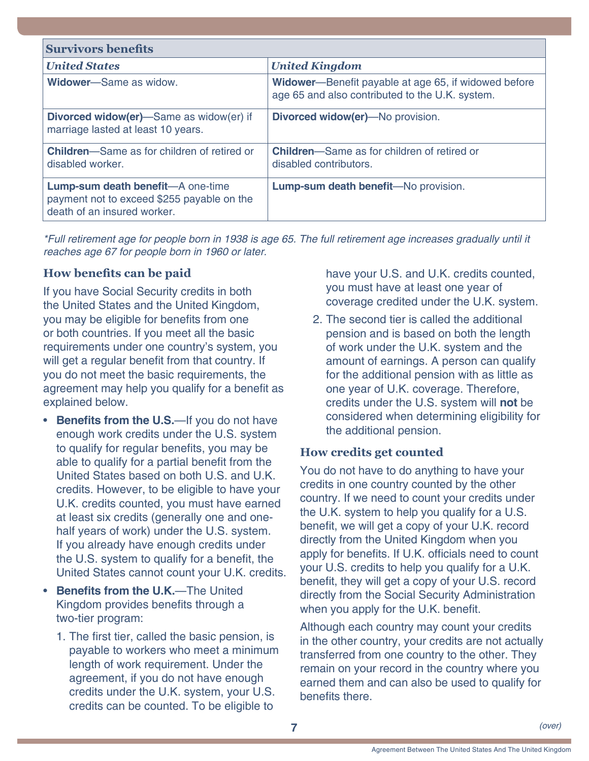| <b>Survivors benefits</b>                                                                                      |                                                                                                                 |
|----------------------------------------------------------------------------------------------------------------|-----------------------------------------------------------------------------------------------------------------|
| <b>United States</b>                                                                                           | <b>United Kingdom</b>                                                                                           |
| <b>Widower-Same as widow.</b>                                                                                  | <b>Widower</b> —Benefit payable at age 65, if widowed before<br>age 65 and also contributed to the U.K. system. |
| <b>Divorced widow(er)</b> —Same as widow(er) if<br>marriage lasted at least 10 years.                          | <b>Divorced widow(er)</b> —No provision.                                                                        |
| <b>Children</b> —Same as for children of retired or<br>disabled worker.                                        | <b>Children</b> —Same as for children of retired or<br>disabled contributors.                                   |
| Lump-sum death benefit-A one-time<br>payment not to exceed \$255 payable on the<br>death of an insured worker. | Lump-sum death benefit-No provision.                                                                            |

*\*Full retirement age for people born in 1938 is age 65. The full retirement age increases gradually until it reaches age 67 for people born in 1960 or later.*

### <span id="page-6-0"></span>**How benefits can be paid**

If you have Social Security credits in both the United States and the United Kingdom, you may be eligible for benefits from one or both countries. If you meet all the basic requirements under one country's system, you will get a regular benefit from that country. If you do not meet the basic requirements, the agreement may help you qualify for a benefit as explained below.

- **Benefits from the U.S.**—If you do not have enough work credits under the U.S. system to qualify for regular benefits, you may be able to qualify for a partial benefit from the United States based on both U.S. and U.K. credits. However, to be eligible to have your U.K. credits counted, you must have earned at least six credits (generally one and onehalf years of work) under the U.S. system. If you already have enough credits under the U.S. system to qualify for a benefit, the United States cannot count your U.K. credits.
- **Benefits from the U.K.**—The United Kingdom provides benefits through a two-tier program:
	- 1. The first tier, called the basic pension, is payable to workers who meet a minimum length of work requirement. Under the agreement, if you do not have enough credits under the U.K. system, your U.S. credits can be counted. To be eligible to

have your U.S. and U.K. credits counted, you must have at least one year of coverage credited under the U.K. system.

2. The second tier is called the additional pension and is based on both the length of work under the U.K. system and the amount of earnings. A person can qualify for the additional pension with as little as one year of U.K. coverage. Therefore, credits under the U.S. system will **not** be considered when determining eligibility for the additional pension.

# **How credits get counted**

You do not have to do anything to have your credits in one country counted by the other country. If we need to count your credits under the U.K. system to help you qualify for a U.S. benefit, we will get a copy of your U.K. record directly from the United Kingdom when you apply for benefits. If U.K. officials need to count your U.S. credits to help you qualify for a U.K. benefit, they will get a copy of your U.S. record directly from the Social Security Administration when you apply for the U.K. benefit.

Although each country may count your credits in the other country, your credits are not actually transferred from one country to the other. They remain on your record in the country where you earned them and can also be used to qualify for benefits there.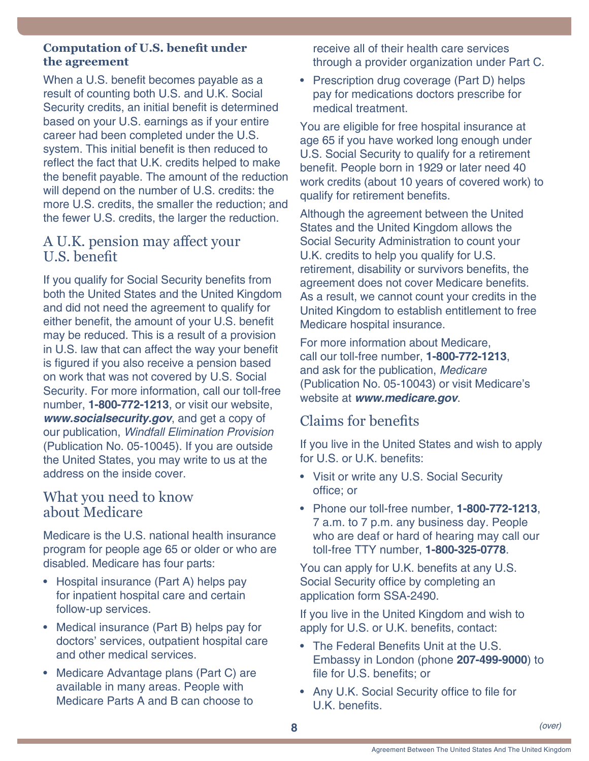#### <span id="page-7-0"></span>**Computation of U.S. benefit under the agreement**

When a U.S. benefit becomes payable as a result of counting both U.S. and U.K. Social Security credits, an initial benefit is determined based on your U.S. earnings as if your entire career had been completed under the U.S. system. This initial benefit is then reduced to reflect the fact that U.K. credits helped to make the benefit payable. The amount of the reduction will depend on the number of U.S. credits: the more U.S. credits, the smaller the reduction; and the fewer U.S. credits, the larger the reduction.

# A U.K. pension may affect your U.S. benefit

If you qualify for Social Security benefits from both the United States and the United Kingdom and did not need the agreement to qualify for either benefit, the amount of your U.S. benefit may be reduced. This is a result of a provision in U.S. law that can affect the way your benefit is figured if you also receive a pension based on work that was not covered by U.S. Social Security. For more information, call our toll-free number, **1-800-772-1213**, or visit our website, *[www.socialsecurity.gov](http://www.socialsecurity.gov)*, and get a copy of our publication, *[Windfall Elimination Provision](http://www.ssa.gov/pubs/EN-05-10045.pdf)* [\(Publication No. 05-10045\)](http://www.ssa.gov/pubs/EN-05-10045.pdf). If you are outside the United States, you may write to us at the address on the inside cover.

# What you need to know about Medicare

Medicare is the U.S. national health insurance program for people age 65 or older or who are disabled. Medicare has four parts:

- Hospital insurance (Part A) helps pay for inpatient hospital care and certain follow-up services.
- Medical insurance (Part B) helps pay for doctors' services, outpatient hospital care and other medical services.
- Medicare Advantage plans (Part C) are available in many areas. People with Medicare Parts A and B can choose to

receive all of their health care services through a provider organization under Part C.

• Prescription drug coverage (Part D) helps pay for medications doctors prescribe for medical treatment.

You are eligible for free hospital insurance at age 65 if you have worked long enough under U.S. Social Security to qualify for a retirement benefit. People born in 1929 or later need 40 work credits (about 10 years of covered work) to qualify for retirement benefits.

Although the agreement between the United States and the United Kingdom allows the Social Security Administration to count your U.K. credits to help you qualify for U.S. retirement, disability or survivors benefits, the agreement does not cover Medicare benefits. As a result, we cannot count your credits in the United Kingdom to establish entitlement to free Medicare hospital insurance.

For more information about Medicare, call our toll-free number, **1-800-772-1213**, and ask for the publication, *[Medicare](http://www.ssa.gov/pubs/EN-05-10043.pdf)* [\(Publication No. 05-10043\)](http://www.ssa.gov/pubs/EN-05-10043.pdf) or visit Medicare's website at *[www.medicare.gov](http://www.medicare.gov)*.

# <span id="page-7-1"></span>Claims for benefits

If you live in the United States and wish to apply for U.S. or U.K. benefits:

- Visit or write any U.S. Social Security office; or
- Phone our toll-free number, **1-800-772-1213**, 7 a.m. to 7 p.m. any business day. People who are deaf or hard of hearing may call our toll-free TTY number, **1-800-325-0778**.

You can apply for U.K. benefits at any U.S. Social Security office by completing an application form SSA-2490.

If you live in the United Kingdom and wish to apply for U.S. or U.K. benefits, contact:

- The Federal Benefits Unit at the U.S. Embassy in London (phone **207-499-9000**) to file for U.S. benefits; or
- Any U.K. Social Security office to file for U.K. benefits.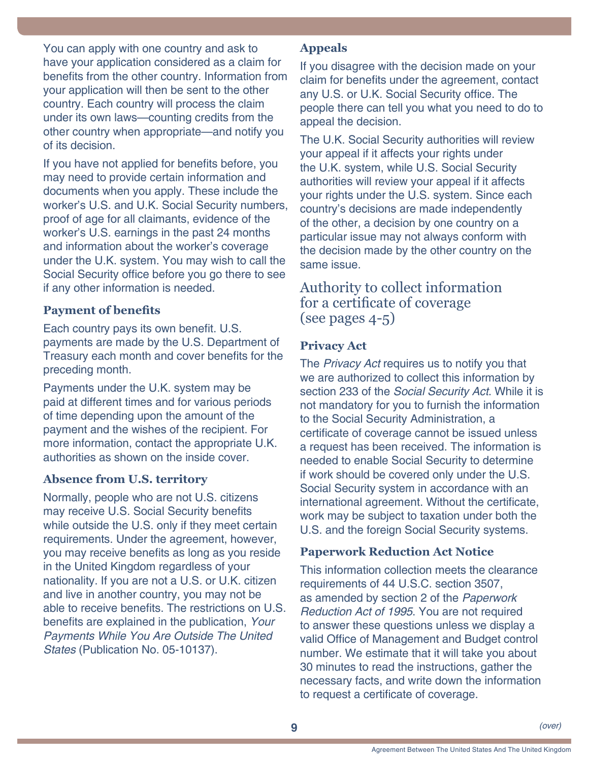<span id="page-8-0"></span>You can apply with one country and ask to have your application considered as a claim for benefits from the other country. Information from your application will then be sent to the other country. Each country will process the claim under its own laws—counting credits from the other country when appropriate—and notify you of its decision.

If you have not applied for benefits before, you may need to provide certain information and documents when you apply. These include the worker's U.S. and U.K. Social Security numbers, proof of age for all claimants, evidence of the worker's U.S. earnings in the past 24 months and information about the worker's coverage under the U.K. system. You may wish to call the Social Security office before you go there to see if any other information is needed.

#### **Payment of benefits**

Each country pays its own benefit. U.S. payments are made by the U.S. Department of Treasury each month and cover benefits for the preceding month.

Payments under the U.K. system may be paid at different times and for various periods of time depending upon the amount of the payment and the wishes of the recipient. For more information, contact the appropriate U.K. authorities as shown on the inside cover.

#### **Absence from U.S. territory**

Normally, people who are not U.S. citizens may receive U.S. Social Security benefits while outside the U.S. only if they meet certain requirements. Under the agreement, however, you may receive benefits as long as you reside in the United Kingdom regardless of your nationality. If you are not a U.S. or U.K. citizen and live in another country, you may not be able to receive benefits. The restrictions on U.S. benefits are explained in the publication, *[Your](http://www.ssa.gov/pubs/EN-05-10137.pdf)  [Payments While You Are Outside The United](http://www.ssa.gov/pubs/EN-05-10137.pdf)  States* [\(Publication No. 05-10137\)](http://www.ssa.gov/pubs/EN-05-10137.pdf).

#### **Appeals**

If you disagree with the decision made on your claim for benefits under the agreement, contact any U.S. or U.K. Social Security office. The people there can tell you what you need to do to appeal the decision.

The U.K. Social Security authorities will review your appeal if it affects your rights under the U.K. system, while U.S. Social Security authorities will review your appeal if it affects your rights under the U.S. system. Since each country's decisions are made independently of the other, a decision by one country on a particular issue may not always conform with the decision made by the other country on the same issue.

# Authority to collect information for a certificate of coverage (see [pages 4-](#page-3-1)5)

# **Privacy Act**

The *Privacy Act* requires us to notify you that we are authorized to collect this information by section 233 of the *Social Security Act*. While it is not mandatory for you to furnish the information to the Social Security Administration, a certificate of coverage cannot be issued unless a request has been received. The information is needed to enable Social Security to determine if work should be covered only under the U.S. Social Security system in accordance with an international agreement. Without the certificate, work may be subject to taxation under both the U.S. and the foreign Social Security systems.

#### **Paperwork Reduction Act Notice**

This information collection meets the clearance requirements of 44 U.S.C. section 3507, as amended by section 2 of the *Paperwork Reduction Act of 1995*. You are not required to answer these questions unless we display a valid Office of Management and Budget control number. We estimate that it will take you about 30 minutes to read the instructions, gather the necessary facts, and write down the information to request a certificate of coverage.